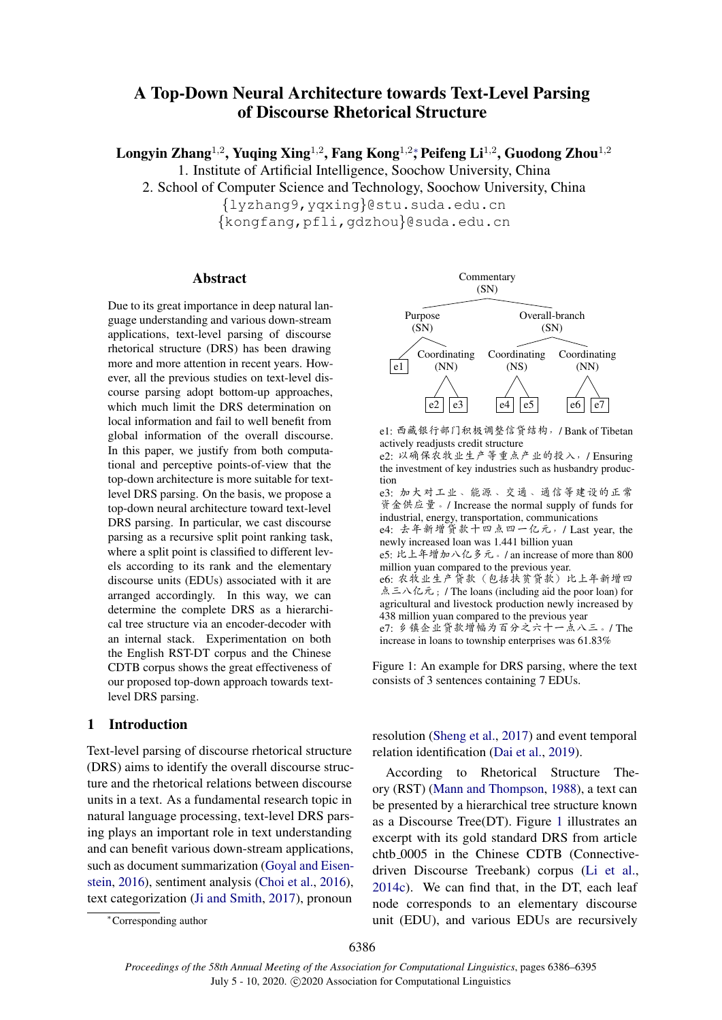# A Top-Down Neural Architecture towards Text-Level Parsing of Discourse Rhetorical Structure

 $\rm{Longy}$ in Zhang $^{1,2}$ , Yuqing Xing $^{1,2}$ , Fang Kong $^{1,2}$ , Peifeng Li $^{1,2}$ , Guodong Zhou $^{1,2}$ 

1. Institute of Artificial Intelligence, Soochow University, China

2. School of Computer Science and Technology, Soochow University, China

*{*lyzhang9,yqxing*}*@stu.suda.edu.cn

*{*kongfang,pfli,gdzhou*}*@suda.edu.cn

# Abstract

Due to its great importance in deep natural language understanding and various down-stream applications, text-level parsing of discourse rhetorical structure (DRS) has been drawing more and more attention in recent years. However, all the previous studies on text-level discourse parsing adopt bottom-up approaches, which much limit the DRS determination on local information and fail to well benefit from global information of the overall discourse. In this paper, we justify from both computational and perceptive points-of-view that the top-down architecture is more suitable for textlevel DRS parsing. On the basis, we propose a top-down neural architecture toward text-level DRS parsing. In particular, we cast discourse parsing as a recursive split point ranking task, where a split point is classified to different levels according to its rank and the elementary discourse units (EDUs) associated with it are arranged accordingly. In this way, we can determine the complete DRS as a hierarchical tree structure via an encoder-decoder with an internal stack. Experimentation on both the English RST-DT corpus and the Chinese CDTB corpus shows the great effectiveness of our proposed top-down approach towards textlevel DRS parsing.

# 1 Introduction

Text-level parsing of discourse rhetorical structure (DRS) aims to identify the overall discourse structure and the rhetorical relations between discourse units in a text. As a fundamental research topic in natural language processing, text-level DRS parsing plays an important role in text understanding and can benefit various down-stream applications, such as document summarization (Goyal and Eisenstein, 2016), sentiment analysis (Choi et al., 2016), text categorization (Ji and Smith, 2017), pronoun



e1: 西藏银行部门积极调整信贷结构, /Bank of Tibetan actively readjusts credit structure

 $e2:$  以确保农牧业生产等重点产业的投入, / Ensuring the investment of key industries such as husbandry production

e3: 加大对工业、能源、交通、通信等建设的正常 资金供应量。/ Increase the normal supply of funds for industrial, energy, transportation, communications

e4: 去年新增贷款十四点四一亿元, / Last year, the newly increased loan was 1.441 billion yuan

- e5: 比上年增加八亿多元。/ an increase of more than 800 million yuan compared to the previous year. e6: 农牧业生产贷款 (包括扶贫贷款) 比上年新增四 点三八亿元; / The loans (including aid the poor loan) for
- agricultural and livestock production newly increased by 438 million yuan compared to the previous year

e7: 乡镇企业贷款增幅为百分之六十一点八三。/ The increase in loans to township enterprises was 61.83%

Figure 1: An example for DRS parsing, where the text consists of 3 sentences containing 7 EDUs.

resolution (Sheng et al., 2017) and event temporal relation identification (Dai et al., 2019).

According to Rhetorical Structure Theory (RST) (Mann and Thompson, 1988), a text can be presented by a hierarchical tree structure known as a Discourse Tree(DT). Figure 1 illustrates an excerpt with its gold standard DRS from article chtb 0005 in the Chinese CDTB (Connectivedriven Discourse Treebank) corpus (Li et al., 2014c). We can find that, in the DT, each leaf node corresponds to an elementary discourse unit (EDU), and various EDUs are recursively

<sup>⇤</sup>Corresponding author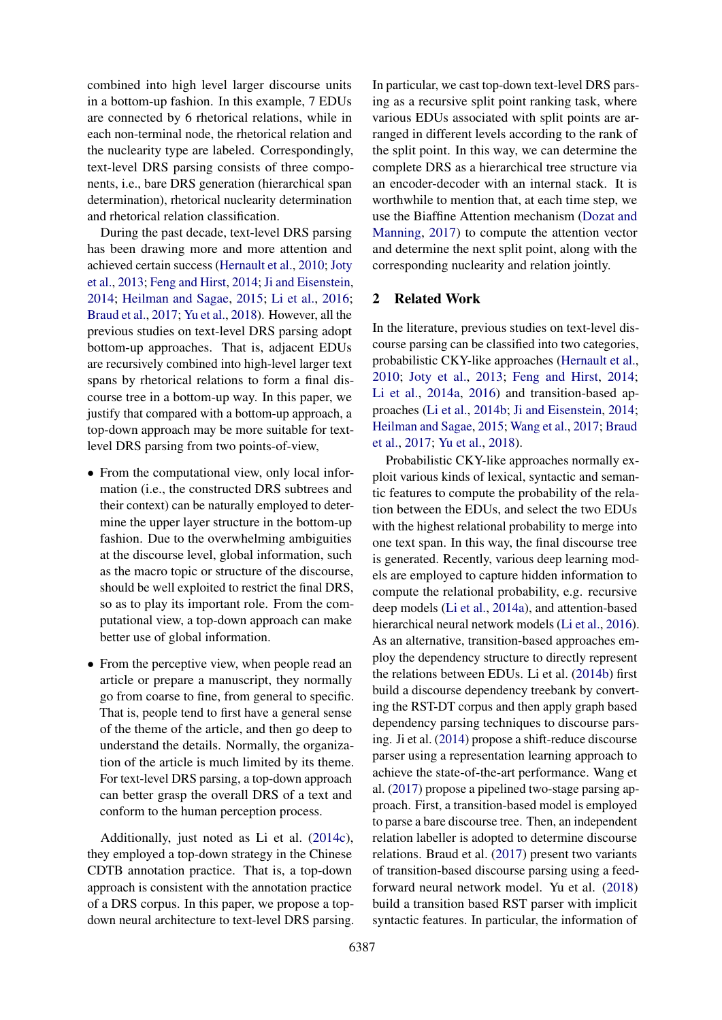combined into high level larger discourse units in a bottom-up fashion. In this example, 7 EDUs are connected by 6 rhetorical relations, while in each non-terminal node, the rhetorical relation and the nuclearity type are labeled. Correspondingly, text-level DRS parsing consists of three components, i.e., bare DRS generation (hierarchical span determination), rhetorical nuclearity determination and rhetorical relation classification.

During the past decade, text-level DRS parsing has been drawing more and more attention and achieved certain success (Hernault et al., 2010; Joty et al., 2013; Feng and Hirst, 2014; Ji and Eisenstein, 2014; Heilman and Sagae, 2015; Li et al., 2016; Braud et al., 2017; Yu et al., 2018). However, all the previous studies on text-level DRS parsing adopt bottom-up approaches. That is, adjacent EDUs are recursively combined into high-level larger text spans by rhetorical relations to form a final discourse tree in a bottom-up way. In this paper, we justify that compared with a bottom-up approach, a top-down approach may be more suitable for textlevel DRS parsing from two points-of-view,

- From the computational view, only local information (i.e., the constructed DRS subtrees and their context) can be naturally employed to determine the upper layer structure in the bottom-up fashion. Due to the overwhelming ambiguities at the discourse level, global information, such as the macro topic or structure of the discourse, should be well exploited to restrict the final DRS, so as to play its important role. From the computational view, a top-down approach can make better use of global information.
- *•* From the perceptive view, when people read an article or prepare a manuscript, they normally go from coarse to fine, from general to specific. That is, people tend to first have a general sense of the theme of the article, and then go deep to understand the details. Normally, the organization of the article is much limited by its theme. For text-level DRS parsing, a top-down approach can better grasp the overall DRS of a text and conform to the human perception process.

Additionally, just noted as Li et al. (2014c), they employed a top-down strategy in the Chinese CDTB annotation practice. That is, a top-down approach is consistent with the annotation practice of a DRS corpus. In this paper, we propose a topdown neural architecture to text-level DRS parsing. In particular, we cast top-down text-level DRS parsing as a recursive split point ranking task, where various EDUs associated with split points are arranged in different levels according to the rank of the split point. In this way, we can determine the complete DRS as a hierarchical tree structure via an encoder-decoder with an internal stack. It is worthwhile to mention that, at each time step, we use the Biaffine Attention mechanism (Dozat and Manning, 2017) to compute the attention vector and determine the next split point, along with the corresponding nuclearity and relation jointly.

# 2 Related Work

In the literature, previous studies on text-level discourse parsing can be classified into two categories, probabilistic CKY-like approaches (Hernault et al., 2010; Joty et al., 2013; Feng and Hirst, 2014; Li et al., 2014a, 2016) and transition-based approaches (Li et al., 2014b; Ji and Eisenstein, 2014; Heilman and Sagae, 2015; Wang et al., 2017; Braud et al., 2017; Yu et al., 2018).

Probabilistic CKY-like approaches normally exploit various kinds of lexical, syntactic and semantic features to compute the probability of the relation between the EDUs, and select the two EDUs with the highest relational probability to merge into one text span. In this way, the final discourse tree is generated. Recently, various deep learning models are employed to capture hidden information to compute the relational probability, e.g. recursive deep models (Li et al., 2014a), and attention-based hierarchical neural network models (Li et al., 2016). As an alternative, transition-based approaches employ the dependency structure to directly represent the relations between EDUs. Li et al. (2014b) first build a discourse dependency treebank by converting the RST-DT corpus and then apply graph based dependency parsing techniques to discourse parsing. Ji et al. (2014) propose a shift-reduce discourse parser using a representation learning approach to achieve the state-of-the-art performance. Wang et al. (2017) propose a pipelined two-stage parsing approach. First, a transition-based model is employed to parse a bare discourse tree. Then, an independent relation labeller is adopted to determine discourse relations. Braud et al. (2017) present two variants of transition-based discourse parsing using a feedforward neural network model. Yu et al. (2018) build a transition based RST parser with implicit syntactic features. In particular, the information of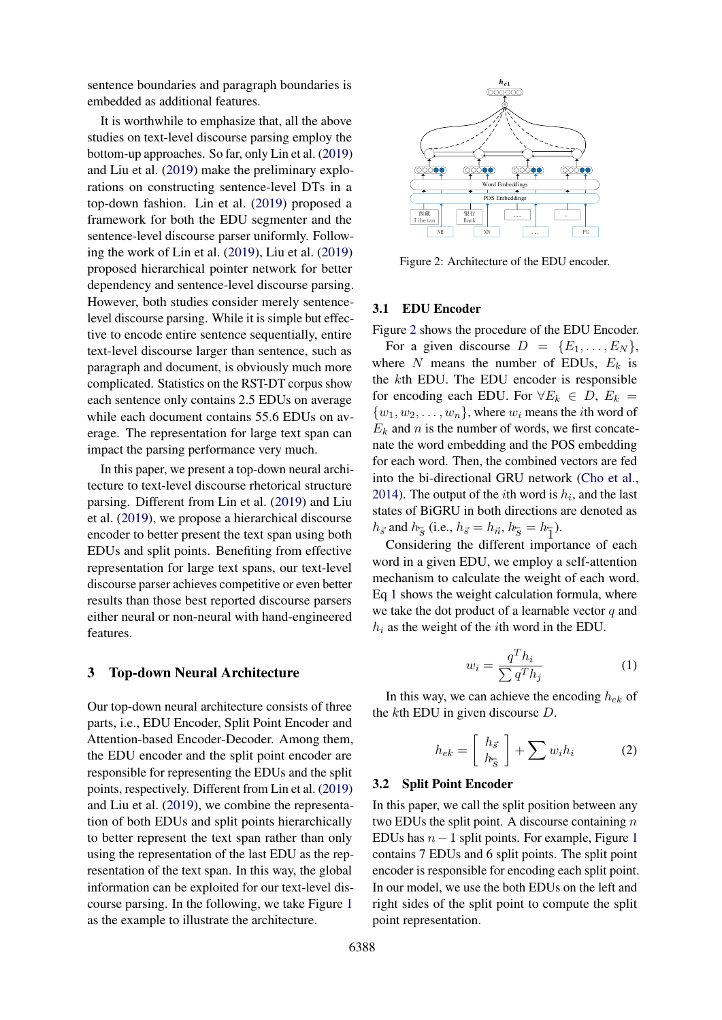sentence boundaries and paragraph boundaries is embedded as additional features.

It is worthwhile to emphasize that, all the above studies on text-level discourse parsing employ the bottom-up approaches. So far, only Lin et al. (2019) and Liu et al. (2019) make the preliminary explorations on constructing sentence-level DTs in a top-down fashion. Lin et al. (2019) proposed a framework for both the EDU segmenter and the sentence-level discourse parser uniformly. Following the work of Lin et al. (2019), Liu et al. (2019) proposed hierarchical pointer network for better dependency and sentence-level discourse parsing. However, both studies consider merely sentencelevel discourse parsing. While it is simple but effective to encode entire sentence sequentially, entire text-level discourse larger than sentence, such as paragraph and document, is obviously much more complicated. Statistics on the RST-DT corpus show each sentence only contains 2.5 EDUs on average while each document contains 55.6 EDUs on average. The representation for large text span can impact the parsing performance very much.

In this paper, we present a top-down neural architecture to text-level discourse rhetorical structure parsing. Different from Lin et al. (2019) and Liu et al. (2019), we propose a hierarchical discourse encoder to better present the text span using both EDUs and split points. Benefiting from effective representation for large text spans, our text-level discourse parser achieves competitive or even better results than those best reported discourse parsers either neural or non-neural with hand-engineered features.

## 3 Top-down Neural Architecture

Our top-down neural architecture consists of three parts, i.e., EDU Encoder, Split Point Encoder and Attention-based Encoder-Decoder. Among them, the EDU encoder and the split point encoder are responsible for representing the EDUs and the split points, respectively. Different from Lin et al. (2019) and Liu et al. (2019), we combine the representation of both EDUs and split points hierarchically to better represent the text span rather than only using the representation of the last EDU as the representation of the text span. In this way, the global information can be exploited for our text-level discourse parsing. In the following, we take Figure 1 as the example to illustrate the architecture.



Figure 2: Architecture of the EDU encoder.

#### 3.1 EDU Encoder

Figure 2 shows the procedure of the EDU Encoder.

For a given discourse  $D = \{E_1, \ldots, E_N\},\$ where *N* means the number of EDUs,  $E_k$  is the *k*th EDU. The EDU encoder is responsible for encoding each EDU. For  $\forall E_k \in D$ ,  $E_k =$  $\{w_1, w_2, \ldots, w_n\}$ , where  $w_i$  means the *i*th word of  $E_k$  and *n* is the number of words, we first concatenate the word embedding and the POS embedding for each word. Then, the combined vectors are fed into the bi-directional GRU network (Cho et al., 2014). The output of the *i*th word is  $h_i$ , and the last states of BiGRU in both directions are denoted as  $h_{\vec{s}}$  and  $h_{\vec{s}}$  (i.e.,  $h_{\vec{s}} = h_{\vec{n}}$ ,  $h_{\vec{s}} = h_{\vec{1}}$ ).

Considering the different importance of each word in a given EDU, we employ a self-attention mechanism to calculate the weight of each word. Eq 1 shows the weight calculation formula, where we take the dot product of a learnable vector *q* and *h<sup>i</sup>* as the weight of the *i*th word in the EDU.

$$
w_i = \frac{q^T h_i}{\sum q^T h_j} \tag{1}
$$

In this way, we can achieve the encoding *hek* of the *k*th EDU in given discourse *D*.

$$
h_{ek} = \left[\begin{array}{c} h_{\vec{s}} \\ h_{\vec{s}} \end{array}\right] + \sum w_i h_i \tag{2}
$$

#### 3.2 Split Point Encoder

In this paper, we call the split position between any two EDUs the split point. A discourse containing *n* EDUs has  $n-1$  split points. For example, Figure 1 contains 7 EDUs and 6 split points. The split point encoder is responsible for encoding each split point. In our model, we use the both EDUs on the left and right sides of the split point to compute the split point representation.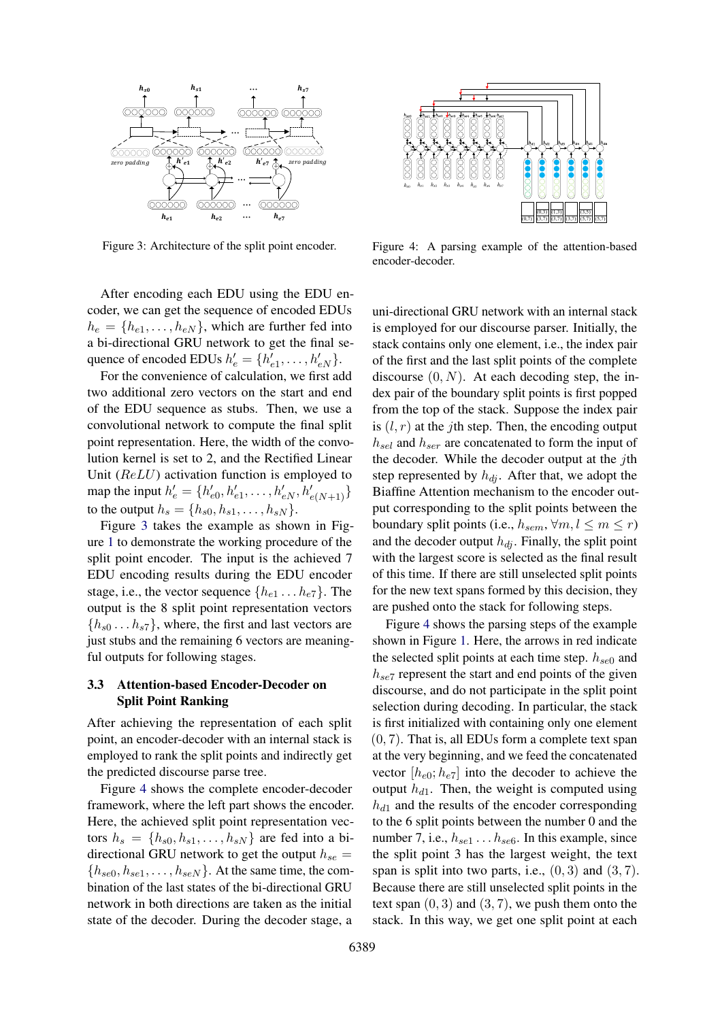

Figure 3: Architecture of the split point encoder.

After encoding each EDU using the EDU en*e*  $\frac{e}{2}$   $\frac{e}{2}$   $\frac{e}{2}$   $\frac{e}{2}$   $\frac{e}{2}$   $\frac{e}{2}$   $\frac{e}{2}$   $\frac{e}{2}$   $\frac{e}{2}$   $\frac{e}{2}$   $\frac{e}{2}$   $\frac{e}{2}$   $\frac{e}{2}$   $\frac{e}{2}$   $\frac{e}{2}$   $\frac{e}{2}$   $\frac{e}{2}$   $\frac{e}{2}$   $\frac{e}{2}$   $\frac{e}{2}$   $\frac{e}{2}$   $\frac{e}{2}$  $h_e = \{h_{e1}, \ldots, h_{eN}\}$ , which are further fed into  $\alpha_e = \{i_e, \ldots, i_{eN}\}\,$ , when the radiate red model is a bi-directional GRU network to get the final sequence of encoded EDUs  $h'_e = \{h'_{e1}, \ldots, h'_{eN}\}.$  $\frac{1}{2}$  the EDU set as sequence as sequence as sequence as sequence as  $\frac{1}{2}$  of  $\frac{1}{2}$ 

For the convenience of calculation, we first add two additional zero vectors on the start and end of the EDU sequence as stubs. Then, we use a convolutional network to compute the final split point representation. Here, the width of the convolution kernel is set to 2, and the Rectified Linear Unit (*ReLU*) activation function is employed to map the input  $h'_e = \{h'_{e0}, h'_{e1}, \dots, h'_{eN}, h'_{e(N+1)}\}$ to the output  $h_s = \{h_{s0}, h_{s1}, \ldots, h_{sN}\}.$ 

Figure 3 takes the example as shown in Fig-If the 8 split the stample as shown in Figure 1 to demonstrate the working procedure of the *f h*  $\alpha$  *b demonstrate the working procedure of the split point encoder. The input is the achieved 7* EDU encoding results during the EDU encoder stage, i.e., the vector sequence  $\{h_{e1} \dots h_{e7}\}$ . The output is the 8 split point representation vectors  $\{h_{s0} \dots h_{s7}\}$ , where, the first and last vectors are just stubs and the remaining 6 vectors are meaningful outputs for following stages.  $\frac{1}{100}$  studies and the remaining  $\frac{1}{100}$  vectors are meaning-

# 3.3 Attention-based Encoder-Decoder on Split Point Ranking  $\frac{1}{2}$  the predicted discourse parameters  $\frac{1}{2}$

After achieving the representation of each split point, an encoder-decoder with an internal stack is  $emploved$  to rank the split points and indirectly get the predicted discourse parse tree.

 $\frac{1}{2}$  Figure 4 shows the complete encoder-decoder framework, where the left part shows the encoder. Here, the achieved split point representation vectors  $h_s = \{h_{s0}, h_{s1}, \ldots, h_{sN}\}\$  are fed into a bidirectional GRU network to get the output  $h_{se}$  =  ${h_{se0}, h_{se1}, \ldots, h_{seN}}$ . At the same time, the combination of the last states of the bi-directional GRU network in both directions are taken as the initial state of the decoder. During the decoder stage, a  $\frac{1}{2}$  achieved spin point representation vectors  $\frac{1}{2}$ 



Figure 4: A parsing example of the attention-based encoder-decoder.

uni-directional GRU network with an internal stack is employed for our discourse parser. Initially, the stack contains only one element, i.e., the index pair of the first and the last split points of the complete discourse  $(0, N)$ . At each decoding step, the index pair of the boundary split points is first popped from the top of the stack. Suppose the index pair is  $(l, r)$  at the *j*th step. Then, the encoding output *hsel* and *hser* are concatenated to form the input of the decoder. While the decoder output at the *j*th step represented by  $h_{di}$ . After that, we adopt the Biaffine Attention mechanism to the encoder output corresponding to the split points between the boundary split points (i.e.,  $h_{sem}$ ,  $\forall m, l \leq m \leq r$ ) and the decoder output  $h_{di}$ . Finally, the split point with the largest score is selected as the final result of this time. If there are still unselected split points for the new text spans formed by this decision, they are pushed onto the stack for following steps.

Figure 4 shows the parsing steps of the example shown in Figure 1. Here, the arrows in red indicate the selected split points at each time step. *hse*<sup>0</sup> and *hse*<sup>7</sup> represent the start and end points of the given discourse, and do not participate in the split point selection during decoding. In particular, the stack is first initialized with containing only one element (0*,* 7). That is, all EDUs form a complete text span at the very beginning, and we feed the concatenated vector  $[h_{e0}; h_{e7}]$  into the decoder to achieve the output  $h_{d1}$ . Then, the weight is computed using  $h_{d1}$  and the results of the encoder corresponding to the 6 split points between the number 0 and the number 7, i.e., *hse*<sup>1</sup> *...hse*6. In this example, since the split point 3 has the largest weight, the text span is split into two parts, i.e.,  $(0, 3)$  and  $(3, 7)$ . Because there are still unselected split points in the text span  $(0, 3)$  and  $(3, 7)$ , we push them onto the stack. In this way, we get one split point at each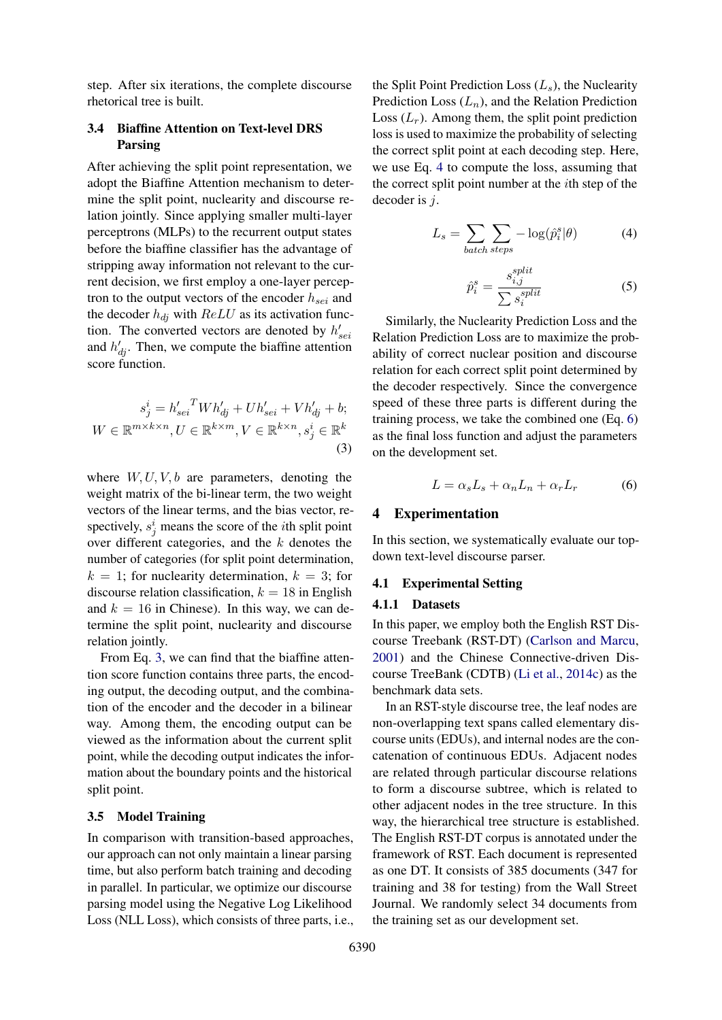step. After six iterations, the complete discourse rhetorical tree is built.

# 3.4 Biaffine Attention on Text-level DRS Parsing

After achieving the split point representation, we adopt the Biaffine Attention mechanism to determine the split point, nuclearity and discourse relation jointly. Since applying smaller multi-layer perceptrons (MLPs) to the recurrent output states before the biaffine classifier has the advantage of stripping away information not relevant to the current decision, we first employ a one-layer perceptron to the output vectors of the encoder *hsei* and the decoder  $h_{di}$  with  $ReLU$  as its activation function. The converted vectors are denoted by  $h'_{\text{sei}}$ and  $h'_{dj}$ . Then, we compute the biaffine attention score function.

$$
s_j^i = h'_{sei}^T Wh'_{dj} + Uh'_{sei} + Vh'_{dj} + b;
$$
  
 
$$
W \in \mathbb{R}^{m \times k \times n}, U \in \mathbb{R}^{k \times m}, V \in \mathbb{R}^{k \times n}, s_j^i \in \mathbb{R}^k
$$
 (3)

where *W, U, V, b* are parameters, denoting the weight matrix of the bi-linear term, the two weight vectors of the linear terms, and the bias vector, respectively,  $s_j^i$  means the score of the *i*th split point over different categories, and the *k* denotes the number of categories (for split point determination,  $k = 1$ ; for nuclearity determination,  $k = 3$ ; for discourse relation classification,  $k = 18$  in English and  $k = 16$  in Chinese). In this way, we can determine the split point, nuclearity and discourse relation jointly.

From Eq. 3, we can find that the biaffine attention score function contains three parts, the encoding output, the decoding output, and the combination of the encoder and the decoder in a bilinear way. Among them, the encoding output can be viewed as the information about the current split point, while the decoding output indicates the information about the boundary points and the historical split point.

# 3.5 Model Training

In comparison with transition-based approaches, our approach can not only maintain a linear parsing time, but also perform batch training and decoding in parallel. In particular, we optimize our discourse parsing model using the Negative Log Likelihood Loss (NLL Loss), which consists of three parts, i.e., the Split Point Prediction Loss (*Ls*), the Nuclearity Prediction Loss (*Ln*), and the Relation Prediction Loss  $(L_r)$ . Among them, the split point prediction loss is used to maximize the probability of selecting the correct split point at each decoding step. Here, we use Eq. 4 to compute the loss, assuming that the correct split point number at the *i*th step of the decoder is *j*.

$$
L_s = \sum_{batch\ steps} -\log(\hat{p}_i^s | \theta)
$$
 (4)

$$
\hat{p}_i^s = \frac{s_{i,j}^{split}}{\sum s_i^{split}} \tag{5}
$$

Similarly, the Nuclearity Prediction Loss and the Relation Prediction Loss are to maximize the probability of correct nuclear position and discourse relation for each correct split point determined by the decoder respectively. Since the convergence speed of these three parts is different during the training process, we take the combined one (Eq. 6) as the final loss function and adjust the parameters on the development set.

$$
L = \alpha_s L_s + \alpha_n L_n + \alpha_r L_r \tag{6}
$$

## 4 Experimentation

In this section, we systematically evaluate our topdown text-level discourse parser.

### 4.1 Experimental Setting

## 4.1.1 Datasets

In this paper, we employ both the English RST Discourse Treebank (RST-DT) (Carlson and Marcu, 2001) and the Chinese Connective-driven Discourse TreeBank (CDTB) (Li et al., 2014c) as the benchmark data sets.

In an RST-style discourse tree, the leaf nodes are non-overlapping text spans called elementary discourse units (EDUs), and internal nodes are the concatenation of continuous EDUs. Adjacent nodes are related through particular discourse relations to form a discourse subtree, which is related to other adjacent nodes in the tree structure. In this way, the hierarchical tree structure is established. The English RST-DT corpus is annotated under the framework of RST. Each document is represented as one DT. It consists of 385 documents (347 for training and 38 for testing) from the Wall Street Journal. We randomly select 34 documents from the training set as our development set.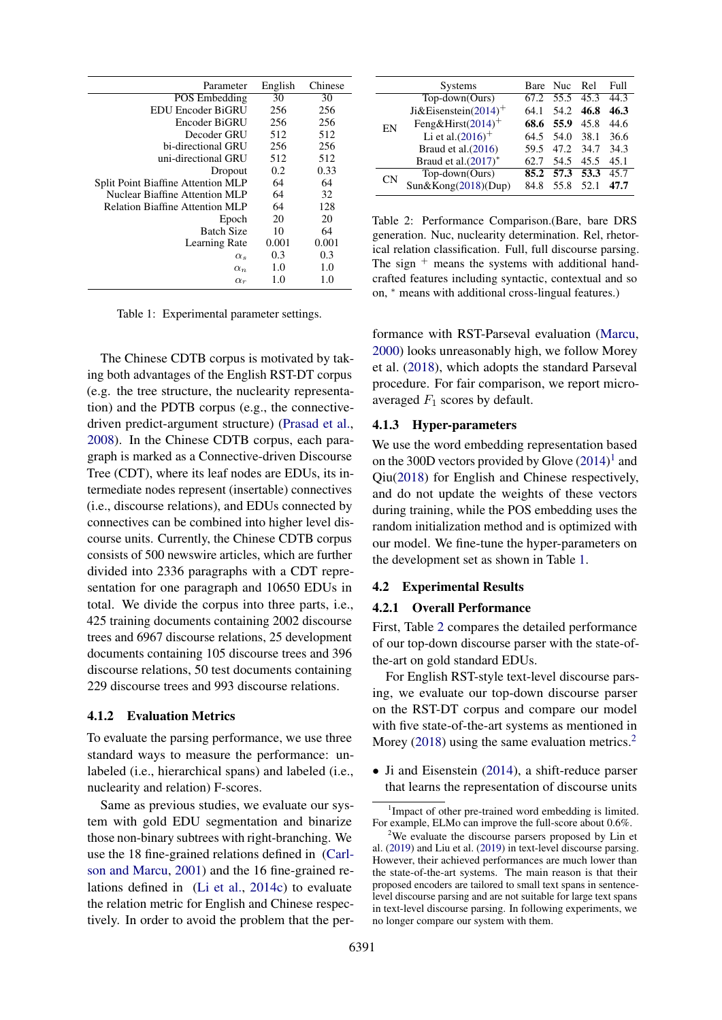| Parameter                                 | English | Chinese |
|-------------------------------------------|---------|---------|
| <b>POS</b> Embedding                      | 30      | 30      |
| EDU Encoder BiGRU                         | 256     | 256     |
| Encoder BiGRU                             | 256     | 256     |
| Decoder GRU                               | 512     | 512     |
| bi-directional GRU                        | 256     | 256     |
| uni-directional GRU                       | 512     | 512     |
| Dropout                                   | 0.2     | 0.33    |
| <b>Split Point Biaffine Attention MLP</b> | 64      | 64      |
| Nuclear Biaffine Attention MLP            | 64      | 32      |
| <b>Relation Biaffine Attention MLP</b>    | 64      | 128     |
| Epoch                                     | 20      | 20      |
| <b>Batch Size</b>                         | 10      | 64      |
| Learning Rate                             | 0.001   | 0.001   |
| $\alpha_s$                                | 0.3     | 0.3     |
| $\alpha_n$                                | 1.0     | 1.0     |
| $\alpha_r$                                | 1.0     | 1.0     |

Table 1: Experimental parameter settings.

The Chinese CDTB corpus is motivated by taking both advantages of the English RST-DT corpus (e.g. the tree structure, the nuclearity representation) and the PDTB corpus (e.g., the connectivedriven predict-argument structure) (Prasad et al., 2008). In the Chinese CDTB corpus, each paragraph is marked as a Connective-driven Discourse Tree (CDT), where its leaf nodes are EDUs, its intermediate nodes represent (insertable) connectives (i.e., discourse relations), and EDUs connected by connectives can be combined into higher level discourse units. Currently, the Chinese CDTB corpus consists of 500 newswire articles, which are further divided into 2336 paragraphs with a CDT representation for one paragraph and 10650 EDUs in total. We divide the corpus into three parts, i.e., 425 training documents containing 2002 discourse trees and 6967 discourse relations, 25 development documents containing 105 discourse trees and 396 discourse relations, 50 test documents containing 229 discourse trees and 993 discourse relations.

#### 4.1.2 Evaluation Metrics

To evaluate the parsing performance, we use three standard ways to measure the performance: unlabeled (i.e., hierarchical spans) and labeled (i.e., nuclearity and relation) F-scores.

Same as previous studies, we evaluate our system with gold EDU segmentation and binarize those non-binary subtrees with right-branching. We use the 18 fine-grained relations defined in (Carlson and Marcu, 2001) and the 16 fine-grained relations defined in (Li et al., 2014c) to evaluate the relation metric for English and Chinese respectively. In order to avoid the problem that the per-

|           | <b>Systems</b>                   |      | Bare Nuc  | - Rel | Full |
|-----------|----------------------------------|------|-----------|-------|------|
|           | Top-down(Ours)                   | 67.2 | 55.5 45.3 |       | 44.3 |
| EN        | Ji&Eisenstein(2014) <sup>+</sup> | 64.1 | 54.2      | 46.8  | 46.3 |
|           | Feng&Hirst $(2014)^+$            | 68.6 | 55.9      | 45.8  | 44.6 |
|           | Li et al. $(2016)^+$             | 64.5 | 54.0      | 38.1  | 36.6 |
|           | Braud et al.(2016)               | 59.5 | 47.2      | 34.7  | 34.3 |
|           | Braud et al. $(2017)^*$          | 62.7 | 54.5      | 45.5  | 45.1 |
| <b>CN</b> | $Top-down(Ours)$                 |      | 85.2 57.3 | 53.3  | 45.7 |
|           | Sun&Kong(2018)(Dup)              | 84.8 | 55.8      | 52.1  | 47.7 |

Table 2: Performance Comparison.(Bare, bare DRS generation. Nuc, nuclearity determination. Rel, rhetorical relation classification. Full, full discourse parsing. The sign  $+$  means the systems with additional handcrafted features including syntactic, contextual and so on,  $*$  means with additional cross-lingual features.)

formance with RST-Parseval evaluation (Marcu, 2000) looks unreasonably high, we follow Morey et al. (2018), which adopts the standard Parseval procedure. For fair comparison, we report microaveraged *F*<sup>1</sup> scores by default.

## 4.1.3 Hyper-parameters

We use the word embedding representation based on the 300D vectors provided by Glove  $(2014)^1$  and Qiu(2018) for English and Chinese respectively, and do not update the weights of these vectors during training, while the POS embedding uses the random initialization method and is optimized with our model. We fine-tune the hyper-parameters on the development set as shown in Table 1.

#### 4.2 Experimental Results

#### 4.2.1 Overall Performance

First, Table 2 compares the detailed performance of our top-down discourse parser with the state-ofthe-art on gold standard EDUs.

For English RST-style text-level discourse parsing, we evaluate our top-down discourse parser on the RST-DT corpus and compare our model with five state-of-the-art systems as mentioned in Morey (2018) using the same evaluation metrics.<sup>2</sup>

• Ji and Eisenstein (2014), a shift-reduce parser that learns the representation of discourse units

<sup>&</sup>lt;sup>1</sup>Impact of other pre-trained word embedding is limited. For example, ELMo can improve the full-score about 0.6%.

<sup>2</sup> We evaluate the discourse parsers proposed by Lin et al. (2019) and Liu et al. (2019) in text-level discourse parsing. However, their achieved performances are much lower than the state-of-the-art systems. The main reason is that their proposed encoders are tailored to small text spans in sentencelevel discourse parsing and are not suitable for large text spans in text-level discourse parsing. In following experiments, we no longer compare our system with them.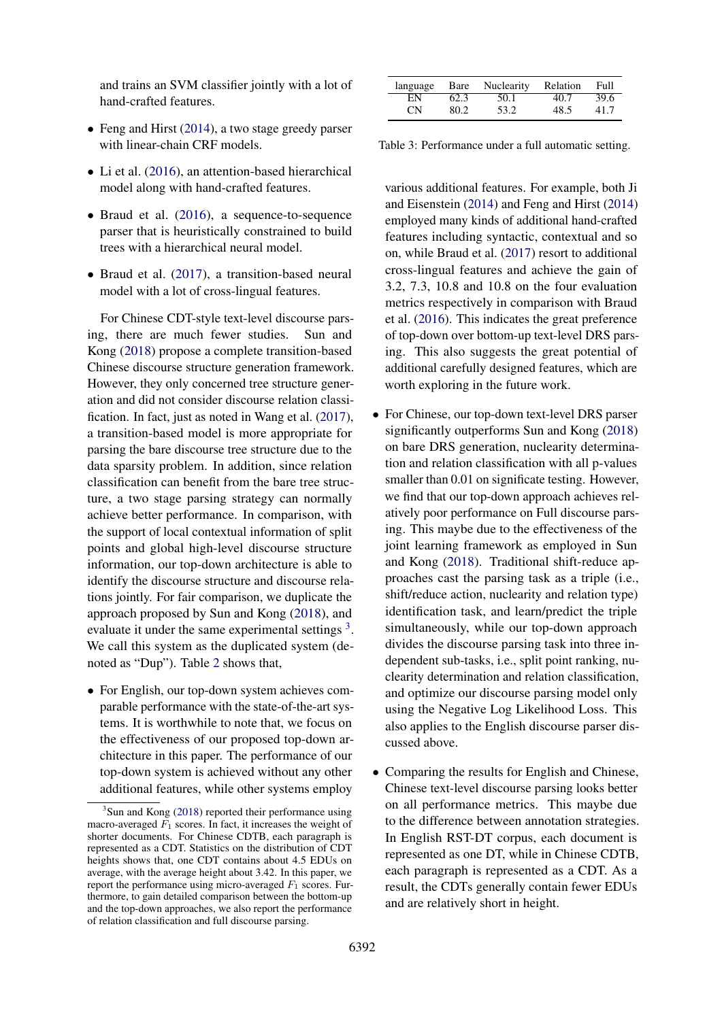and trains an SVM classifier jointly with a lot of hand-crafted features.

- Feng and Hirst (2014), a two stage greedy parser with linear-chain CRF models.
- Li et al. (2016), an attention-based hierarchical model along with hand-crafted features.
- Braud et al. (2016), a sequence-to-sequence parser that is heuristically constrained to build trees with a hierarchical neural model.
- Braud et al. (2017), a transition-based neural model with a lot of cross-lingual features.

For Chinese CDT-style text-level discourse parsing, there are much fewer studies. Sun and Kong (2018) propose a complete transition-based Chinese discourse structure generation framework. However, they only concerned tree structure generation and did not consider discourse relation classification. In fact, just as noted in Wang et al. (2017), a transition-based model is more appropriate for parsing the bare discourse tree structure due to the data sparsity problem. In addition, since relation classification can benefit from the bare tree structure, a two stage parsing strategy can normally achieve better performance. In comparison, with the support of local contextual information of split points and global high-level discourse structure information, our top-down architecture is able to identify the discourse structure and discourse relations jointly. For fair comparison, we duplicate the approach proposed by Sun and Kong (2018), and evaluate it under the same experimental settings<sup>3</sup>. We call this system as the duplicated system (denoted as "Dup"). Table 2 shows that,

*•* For English, our top-down system achieves comparable performance with the state-of-the-art systems. It is worthwhile to note that, we focus on the effectiveness of our proposed top-down architecture in this paper. The performance of our top-down system is achieved without any other additional features, while other systems employ

|    |      | language Bare Nuclearity | Relation | Full |
|----|------|--------------------------|----------|------|
| ΕN | 62.3 | 50.1                     | 40.7     | 39.6 |
| СN | 80.2 | 53.2                     | 48.5     | 41.7 |

Table 3: Performance under a full automatic setting.

various additional features. For example, both Ji and Eisenstein (2014) and Feng and Hirst (2014) employed many kinds of additional hand-crafted features including syntactic, contextual and so on, while Braud et al. (2017) resort to additional cross-lingual features and achieve the gain of 3.2, 7.3, 10.8 and 10.8 on the four evaluation metrics respectively in comparison with Braud et al. (2016). This indicates the great preference of top-down over bottom-up text-level DRS parsing. This also suggests the great potential of additional carefully designed features, which are worth exploring in the future work.

- *•* For Chinese, our top-down text-level DRS parser significantly outperforms Sun and Kong (2018) on bare DRS generation, nuclearity determination and relation classification with all p-values smaller than 0.01 on significate testing. However, we find that our top-down approach achieves relatively poor performance on Full discourse parsing. This maybe due to the effectiveness of the joint learning framework as employed in Sun and Kong (2018). Traditional shift-reduce approaches cast the parsing task as a triple (i.e., shift/reduce action, nuclearity and relation type) identification task, and learn/predict the triple simultaneously, while our top-down approach divides the discourse parsing task into three independent sub-tasks, i.e., split point ranking, nuclearity determination and relation classification, and optimize our discourse parsing model only using the Negative Log Likelihood Loss. This also applies to the English discourse parser discussed above.
- Comparing the results for English and Chinese, Chinese text-level discourse parsing looks better on all performance metrics. This maybe due to the difference between annotation strategies. In English RST-DT corpus, each document is represented as one DT, while in Chinese CDTB, each paragraph is represented as a CDT. As a result, the CDTs generally contain fewer EDUs and are relatively short in height.

<sup>&</sup>lt;sup>3</sup>Sun and Kong (2018) reported their performance using macro-averaged *F*<sup>1</sup> scores. In fact, it increases the weight of shorter documents. For Chinese CDTB, each paragraph is represented as a CDT. Statistics on the distribution of CDT heights shows that, one CDT contains about 4.5 EDUs on average, with the average height about 3.42. In this paper, we report the performance using micro-averaged *F*<sup>1</sup> scores. Furthermore, to gain detailed comparison between the bottom-up and the top-down approaches, we also report the performance of relation classification and full discourse parsing.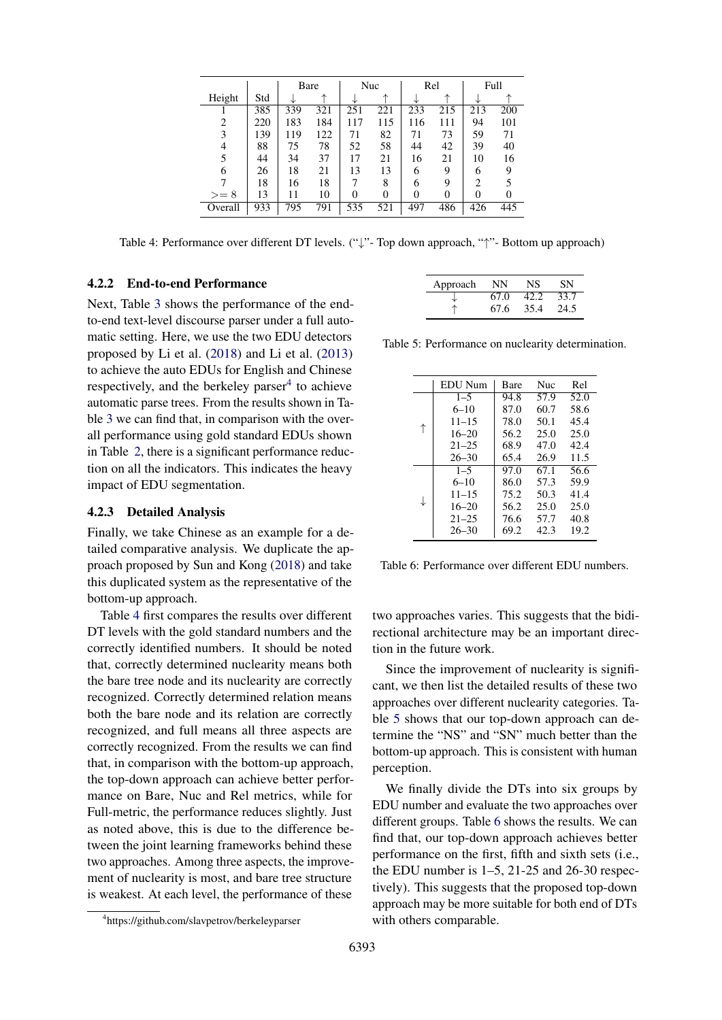|         |     |     | Bare |     | Nuc |     | Rel      |     | Full |
|---------|-----|-----|------|-----|-----|-----|----------|-----|------|
| Height  | Std |     |      |     |     |     | ᠰ        |     |      |
|         | 385 | 339 | 321  | 251 | 221 | 233 | 215      | 213 | 200  |
| 2       | 220 | 183 | 184  | 117 | 115 | 116 | 111      | 94  | 101  |
| 3       | 139 | 119 | 122  | 71  | 82  | 71  | 73       | 59  | 71   |
| 4       | 88  | 75  | 78   | 52  | 58  | 44  | 42       | 39  | 40   |
| 5       | 44  | 34  | 37   | 17  | 21  | 16  | 21       | 10  | 16   |
| 6       | 26  | 18  | 21   | 13  | 13  | 6   | 9        | 6   | 9    |
|         | 18  | 16  | 18   | 7   | 8   | 6   | 9        | 2   |      |
| $>= 8$  | 13  | 11  | 10   | 0   |     | 0   | $\theta$ | 0   |      |
| Overall | 933 | 795 | 791  | 535 | 521 | 497 | 486      | 426 | 445  |

Table 4: Performance over different DT levels. ("\" - Top down approach, "\" - Bottom up approach)

# 4.2.2 End-to-end Performance

Next, Table 3 shows the performance of the endto-end text-level discourse parser under a full automatic setting. Here, we use the two EDU detectors proposed by Li et al. (2018) and Li et al. (2013) to achieve the auto EDUs for English and Chinese respectively, and the berkeley parser $4$  to achieve automatic parse trees. From the results shown in Table 3 we can find that, in comparison with the overall performance using gold standard EDUs shown in Table 2, there is a significant performance reduction on all the indicators. This indicates the heavy impact of EDU segmentation.

# 4.2.3 Detailed Analysis

Finally, we take Chinese as an example for a detailed comparative analysis. We duplicate the approach proposed by Sun and Kong (2018) and take this duplicated system as the representative of the bottom-up approach.

Table 4 first compares the results over different DT levels with the gold standard numbers and the correctly identified numbers. It should be noted that, correctly determined nuclearity means both the bare tree node and its nuclearity are correctly recognized. Correctly determined relation means both the bare node and its relation are correctly recognized, and full means all three aspects are correctly recognized. From the results we can find that, in comparison with the bottom-up approach, the top-down approach can achieve better performance on Bare, Nuc and Rel metrics, while for Full-metric, the performance reduces slightly. Just as noted above, this is due to the difference between the joint learning frameworks behind these two approaches. Among three aspects, the improvement of nuclearity is most, and bare tree structure is weakest. At each level, the performance of these

| Approach | NΝ   | NS   | SN   |
|----------|------|------|------|
|          | 67.0 | 42.2 | 33.7 |
|          | 67.6 | 35.4 | 24.5 |

Table 5: Performance on nuclearity determination.

|   | EDU Num   | Bare | <b>Nuc</b> | Rel  |
|---|-----------|------|------------|------|
| ↑ | $1 - 5$   | 94.8 | 57.9       | 52.0 |
|   | $6 - 10$  | 87.0 | 60.7       | 58.6 |
|   | $11 - 15$ | 78.0 | 50.1       | 45.4 |
|   | $16 - 20$ | 56.2 | 25.0       | 25.0 |
|   | $21 - 25$ | 68.9 | 47.0       | 42.4 |
|   | $26 - 30$ | 65.4 | 26.9       | 11.5 |
| ↓ | $1 - 5$   | 97.0 | 67.1       | 56.6 |
|   | $6 - 10$  | 86.0 | 57.3       | 59.9 |
|   | $11 - 15$ | 75.2 | 50.3       | 41.4 |
|   | $16 - 20$ | 56.2 | 25.0       | 25.0 |
|   | $21 - 25$ | 76.6 | 57.7       | 40.8 |
|   | $26 - 30$ | 69.2 | 42.3       | 19.2 |

Table 6: Performance over different EDU numbers.

two approaches varies. This suggests that the bidirectional architecture may be an important direction in the future work.

Since the improvement of nuclearity is significant, we then list the detailed results of these two approaches over different nuclearity categories. Table 5 shows that our top-down approach can determine the "NS" and "SN" much better than the bottom-up approach. This is consistent with human perception.

We finally divide the DTs into six groups by EDU number and evaluate the two approaches over different groups. Table 6 shows the results. We can find that, our top-down approach achieves better performance on the first, fifth and sixth sets (i.e., the EDU number is  $1-5$ ,  $21-25$  and  $26-30$  respectively). This suggests that the proposed top-down approach may be more suitable for both end of DTs with others comparable.

<sup>4</sup> https://github.com/slavpetrov/berkeleyparser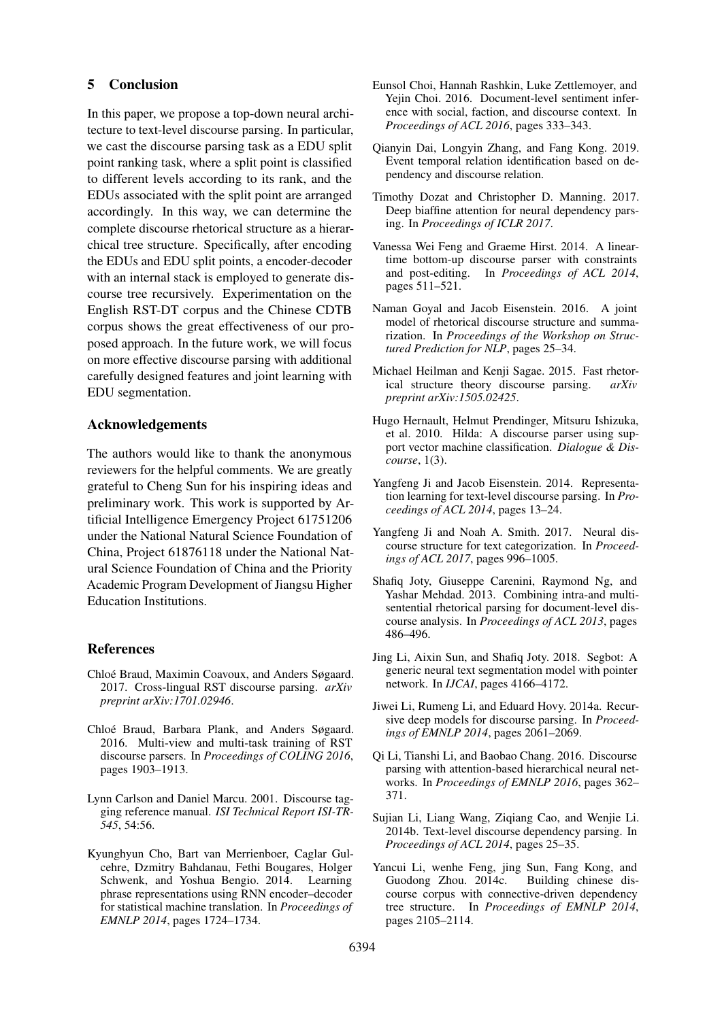# 5 Conclusion

In this paper, we propose a top-down neural architecture to text-level discourse parsing. In particular, we cast the discourse parsing task as a EDU split point ranking task, where a split point is classified to different levels according to its rank, and the EDUs associated with the split point are arranged accordingly. In this way, we can determine the complete discourse rhetorical structure as a hierarchical tree structure. Specifically, after encoding the EDUs and EDU split points, a encoder-decoder with an internal stack is employed to generate discourse tree recursively. Experimentation on the English RST-DT corpus and the Chinese CDTB corpus shows the great effectiveness of our proposed approach. In the future work, we will focus on more effective discourse parsing with additional carefully designed features and joint learning with EDU segmentation.

# Acknowledgements

The authors would like to thank the anonymous reviewers for the helpful comments. We are greatly grateful to Cheng Sun for his inspiring ideas and preliminary work. This work is supported by Artificial Intelligence Emergency Project 61751206 under the National Natural Science Foundation of China, Project 61876118 under the National Natural Science Foundation of China and the Priority Academic Program Development of Jiangsu Higher Education Institutions.

# References

- Chloé Braud, Maximin Coavoux, and Anders Søgaard. 2017. Cross-lingual RST discourse parsing. *arXiv preprint arXiv:1701.02946*.
- Chloé Braud, Barbara Plank, and Anders Søgaard. 2016. Multi-view and multi-task training of RST discourse parsers. In *Proceedings of COLING 2016*, pages 1903–1913.
- Lynn Carlson and Daniel Marcu. 2001. Discourse tagging reference manual. *ISI Technical Report ISI-TR-545*, 54:56.
- Kyunghyun Cho, Bart van Merrienboer, Caglar Gulcehre, Dzmitry Bahdanau, Fethi Bougares, Holger Schwenk, and Yoshua Bengio. 2014. Learning phrase representations using RNN encoder–decoder for statistical machine translation. In *Proceedings of EMNLP 2014*, pages 1724–1734.
- Eunsol Choi, Hannah Rashkin, Luke Zettlemoyer, and Yejin Choi. 2016. Document-level sentiment inference with social, faction, and discourse context. In *Proceedings of ACL 2016*, pages 333–343.
- Qianyin Dai, Longyin Zhang, and Fang Kong. 2019. Event temporal relation identification based on dependency and discourse relation.
- Timothy Dozat and Christopher D. Manning. 2017. Deep biaffine attention for neural dependency parsing. In *Proceedings of ICLR 2017*.
- Vanessa Wei Feng and Graeme Hirst. 2014. A lineartime bottom-up discourse parser with constraints and post-editing. In *Proceedings of ACL 2014*, pages 511–521.
- Naman Goyal and Jacob Eisenstein. 2016. A joint model of rhetorical discourse structure and summarization. In *Proceedings of the Workshop on Structured Prediction for NLP*, pages 25–34.
- Michael Heilman and Kenji Sagae. 2015. Fast rhetorical structure theory discourse parsing. *arXiv preprint arXiv:1505.02425*.
- Hugo Hernault, Helmut Prendinger, Mitsuru Ishizuka, et al. 2010. Hilda: A discourse parser using support vector machine classification. *Dialogue & Discourse*, 1(3).
- Yangfeng Ji and Jacob Eisenstein. 2014. Representation learning for text-level discourse parsing. In *Proceedings of ACL 2014*, pages 13–24.
- Yangfeng Ji and Noah A. Smith. 2017. Neural discourse structure for text categorization. In *Proceedings of ACL 2017*, pages 996–1005.
- Shafiq Joty, Giuseppe Carenini, Raymond Ng, and Yashar Mehdad. 2013. Combining intra-and multisentential rhetorical parsing for document-level discourse analysis. In *Proceedings of ACL 2013*, pages 486–496.
- Jing Li, Aixin Sun, and Shafiq Joty. 2018. Segbot: A generic neural text segmentation model with pointer network. In *IJCAI*, pages 4166–4172.
- Jiwei Li, Rumeng Li, and Eduard Hovy. 2014a. Recursive deep models for discourse parsing. In *Proceedings of EMNLP 2014*, pages 2061–2069.
- Qi Li, Tianshi Li, and Baobao Chang. 2016. Discourse parsing with attention-based hierarchical neural networks. In *Proceedings of EMNLP 2016*, pages 362– 371.
- Sujian Li, Liang Wang, Ziqiang Cao, and Wenjie Li. 2014b. Text-level discourse dependency parsing. In *Proceedings of ACL 2014*, pages 25–35.
- Yancui Li, wenhe Feng, jing Sun, Fang Kong, and Guodong Zhou. 2014c. Building chinese discourse corpus with connective-driven dependency tree structure. In *Proceedings of EMNLP 2014*, pages 2105–2114.